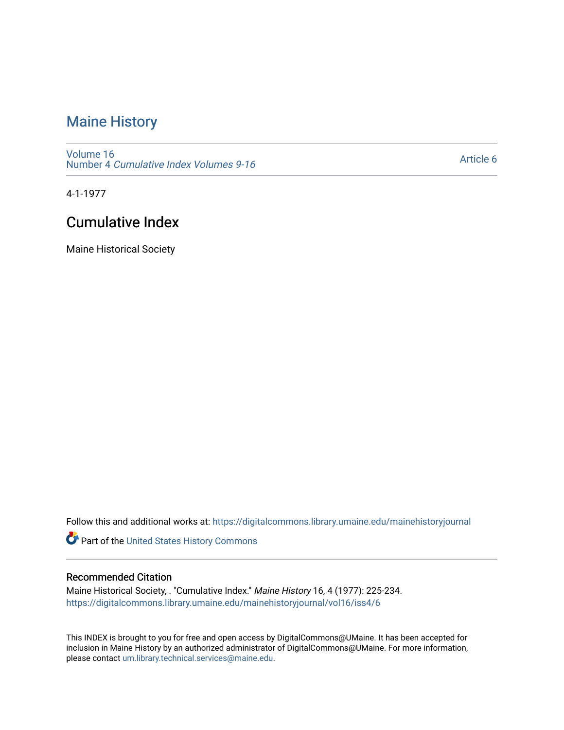# [Maine History](https://digitalcommons.library.umaine.edu/mainehistoryjournal)

[Volume 16](https://digitalcommons.library.umaine.edu/mainehistoryjournal/vol16) Number 4 [Cumulative Index Volumes 9-16](https://digitalcommons.library.umaine.edu/mainehistoryjournal/vol16/iss4) 

[Article 6](https://digitalcommons.library.umaine.edu/mainehistoryjournal/vol16/iss4/6) 

4-1-1977

## Cumulative Index

Maine Historical Society

Follow this and additional works at: [https://digitalcommons.library.umaine.edu/mainehistoryjournal](https://digitalcommons.library.umaine.edu/mainehistoryjournal?utm_source=digitalcommons.library.umaine.edu%2Fmainehistoryjournal%2Fvol16%2Fiss4%2F6&utm_medium=PDF&utm_campaign=PDFCoverPages) 

Part of the [United States History Commons](http://network.bepress.com/hgg/discipline/495?utm_source=digitalcommons.library.umaine.edu%2Fmainehistoryjournal%2Fvol16%2Fiss4%2F6&utm_medium=PDF&utm_campaign=PDFCoverPages) 

#### Recommended Citation

Maine Historical Society, . "Cumulative Index." Maine History 16, 4 (1977): 225-234. [https://digitalcommons.library.umaine.edu/mainehistoryjournal/vol16/iss4/6](https://digitalcommons.library.umaine.edu/mainehistoryjournal/vol16/iss4/6?utm_source=digitalcommons.library.umaine.edu%2Fmainehistoryjournal%2Fvol16%2Fiss4%2F6&utm_medium=PDF&utm_campaign=PDFCoverPages)

This INDEX is brought to you for free and open access by DigitalCommons@UMaine. It has been accepted for inclusion in Maine History by an authorized administrator of DigitalCommons@UMaine. For more information, please contact [um.library.technical.services@maine.edu.](mailto:um.library.technical.services@maine.edu)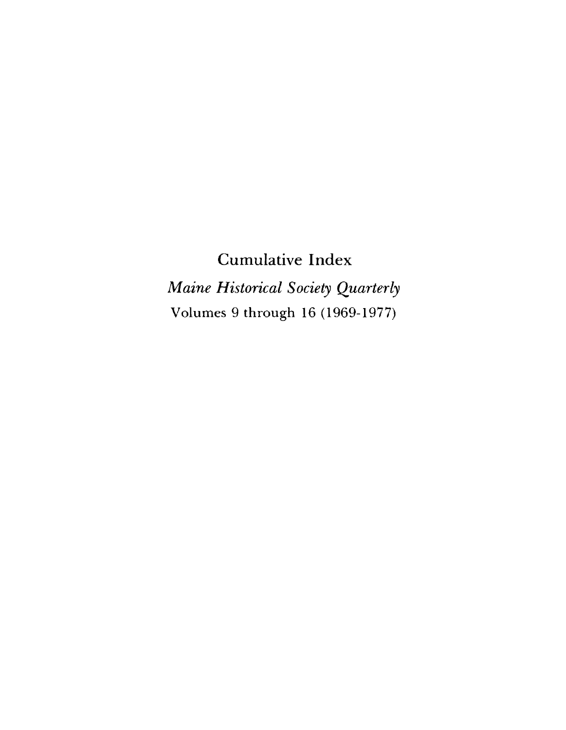**Cumulative Index** *Maine Historical Society Quarterly* Volumes 9 through 16 (1969-1977)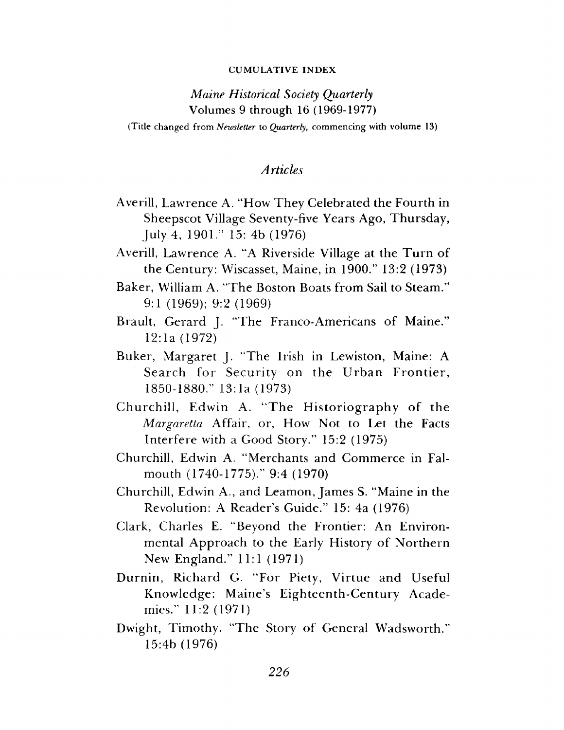#### CUMULATIVE INDEX

## *Maine Historical Society Quarterly* Volumes 9 through 16 (1969-1977)

(Title changed from *Newsletter* to *Quarterly*, commencing with volume 13)

### *Articles*

- Averill, Lawrence A. "How They Celebrated the Fourth in Sheepscot Village Seventy-five Years Ago, Thursday, July 4, 1901." 15: 4b (1976)
- Averill, Lawrence A. "A Riverside Village at the Turn of the Century: Wiscasset, Maine, in 1900." 13:2 (1973)
- Baker, William A. "The Boston Boats from Sail to Steam." 9:1 (1969); 9:2 (1969)
- Brault, Gerard J. "The Franco-Americans of Maine." 12:1a (1972)
- Buker, Margaret J. "The Irish in Lewiston, Maine: A Search for Security on the Urban Frontier, 1850-1880." 13:1a (1973)
- Churchill, Edwin A. "The Historiography of the *Margaretta* Affair, or, How Not to Let the Facts In terfere with a Good Story." 15:2 (1975)
- Churchill, Edwin A. "Merchants and Commerce in Falmouth (1740-1775)." 9:4 (1970)
- Churchill, Edwin A., and Leamon, James S. "Maine in the Revolution: A Reader's Guide." 15: 4a (1976)
- Clark, Charles E. "Beyond the Frontier: An Environmental Approach to the Early History of Northern New England." 11:1 (1971)
- Durnin, Richard G. "For Piety, Virtue and Useful Knowledge: Maine's Eighteenth-Century Academies." 11:2 (1971)
- Dwight, Timothy. "The Story of General Wadsworth." 15:4b (1976)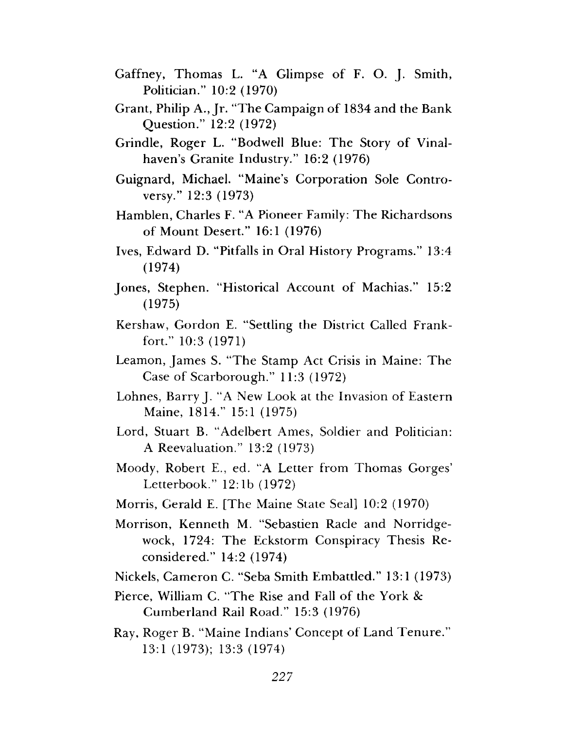- Gaffney, Thomas L. "A Glimpse of F. O. J. Smith, Politician." 10:2 (1970)
- Grant, Philip A., Jr. "The Campaign of 1834 and the Bank Q uestion." 12:2 (1972)
- Grindle, Roger L. "Bodwell Blue: The Story of Vinalhaven's Granite Industry." 16:2 (1976)
- Guignard, Michael. "Maine's Corporation Sole Controversy." 12:3 (1973)
- Hamblen, Charles F. "A Pioneer Family: The Richardsons of Mount Desert." 16:1 (1976)
- Ives, Edward D. "Pitfalls in Oral History Programs." 13:4 (1974)
- Jones, Stephen. "Historical Account of Machias." 15:2 (1975)
- Kershaw, Gordon E. "Settling the District Called Frankfort." 10:3 (1971)
- Leamon, James S. "The Stamp Act Crisis in Maine: The Case of Scarborough."  $11:3$  (1972)
- Lohnes, Barry J. "A New Look at the Invasion of Eastern Maine, 1814." 15:1 (1975)
- Lord, Stuart B. "A delbert Ames, Soldier and Politician: A Reevaluation." 13:2 (1973)
- Moody, Robert E., ed. "A Letter from Thomas Gorges' Letterbook." 12:1b (1972)
- Morris, Gerald E. [The Maine State Seal] 10:2 (1970)
- Morrison, Kenneth M. "Sebastien Racle and Norridgewock, 1724: The Eckstorm Conspiracy Thesis Reconsidered." 14:2 (1974)
- Nickels, Cameron C. "Seba Smith Embattled." 13:1 (1973)
- Pierce, William C. "The Rise and Fall of the York & Cumberland Rail Road." 15:3 (1976)
- Ray, Roger B. "Maine Indians' Concept of Land Tenure." 13:1 (1973); 13:3 (1974)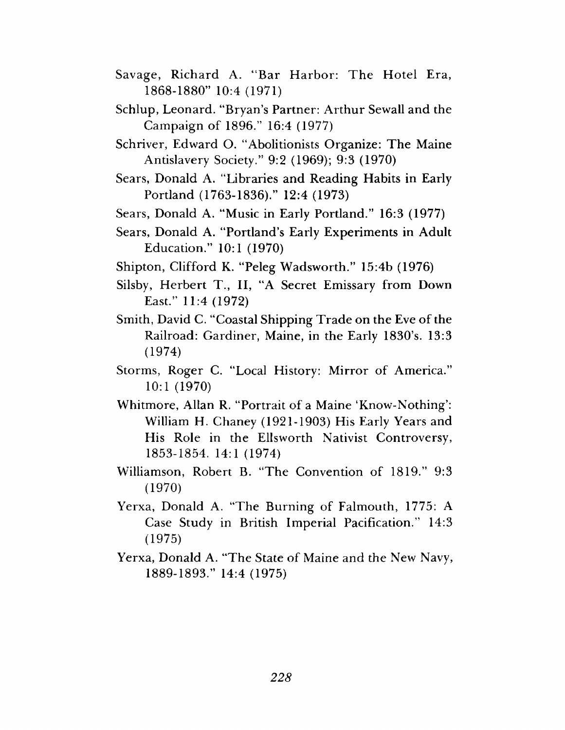- Savage, Richard A. "Bar Harbor: The Hotel Era, 1868-1880" 10:4 (1971)
- Schlup, Leonard. "Bryan's Partner: Arthur Sewall and the Campaign of 1896." 16:4 (1977)
- Schriver, Edward O. "Abolitionists Organize: The Maine Antislavery Society." 9:2 (1969); 9:3 (1970)
- Sears, Donald A. "Libraries and Reading Habits in Early Portland (1763-1836)." 12:4 (1973)
- Sears, Donald A. "Music in Early Portland." 16:3 (1977)
- Sears, Donald A. "Portland's Early Experiments in Adult E ducation." 10:1 (1970)
- Shipton, Clifford K. "Peleg Wadsworth." 15:4b (1976)
- Silsby, Herbert T., II, "A Secret Emissary from Down East." 11:4 (1972)
- Smith, David C. "Coastal Shipping Trade on the Eve of the Railroad: Gardiner, Maine, in the Early 1830's. 13:3 (1974)
- Storms, Roger C. "Local History: Mirror of America." 10:1 (1970)
- Whitmore, Allan R. "Portrait of a Maine 'Know-Nothing': William H. Chaney (1921-1903) His Early Years and His Role in the Ellsworth Nativist Controversy, 1853-1854. 14:1 (1974)
- Williamson, Robert B. "The Convention of 1819." 9:3 (1970)
- Yerxa, Donald A. "The Burning of Falmouth, 1775: A Case Study in British Imperial Pacification." 14:3 (1975)
- Yerxa, Donald A. "The State of Maine and the New Navy, 1889-1893." 14:4 (1975)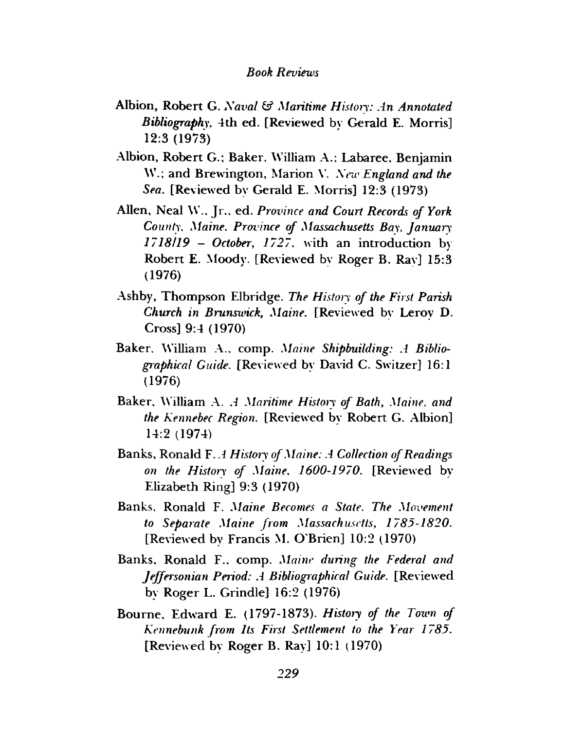### *Book Reviews*

- Albion, Robert G. *Naval & Maritime History: in Annotated Bibliography,* 4th ed. [Reviewed by Gerald E. Morris] 12:3 (1973)
- Albion, Robert G.; Baker, William A.: Labaree, Benjamin W.; and Brewington, Marion V. *New England and the Sea.* [Reviewed by Gerald E. Morris] 12:3 (1973)
- Allen, Neal W., Jr., ed. Province and Court Records of York *County, Maine. Province of Massachusetts Bay*, *January 1718/19 - October, 1727.* with an introduction by Robert E. Moody. [Reviewed bv Roger B. Rav] 15:3 (1976)
- Ashby, Thompson Elbridge. The History of the First Parish *Church in Brunsioick, Maine.* [Reviewed by Leroy D. Cross] 9:4 (1970)
- Baker. William A., comp. *Maine Shipbuilding: A Bibliographical Guide.* [Reviewed by David C. Switzer] 16:1 (1976)
- Baker, William A. *A Maritime History of Bath, Maine, and the Kennebec Region.* [Reviewed by Robert G. Albion] 14:2 (1974)
- Banks, Ronald F..1 *History of Maine: A Collection of Readings on the History of Maine, 1600-1970.* [Reviewed by Elizabeth Ring] 9:3 (1970)
- Banks. Ronald F. *Maine Becomes a State. The Movement* to Separate Maine from Massachusetts, 1785-1820. [Reviewed by Francis M. O'Brien] 10:2 (1970)
- Banks, Ronald F.. comp. *Maine during the Federal and Jeffersonian Period: A Bibliographical Guide.* [Reviewed by Roger L. Grindle] 16:2 (1976)
- Bourne, Edward E. (1797-1873). *History of the Town of Kennebunk from Its First Settlement to the Year 1785.* [Reviewed by Roger B. Ray] 10:1 (1970)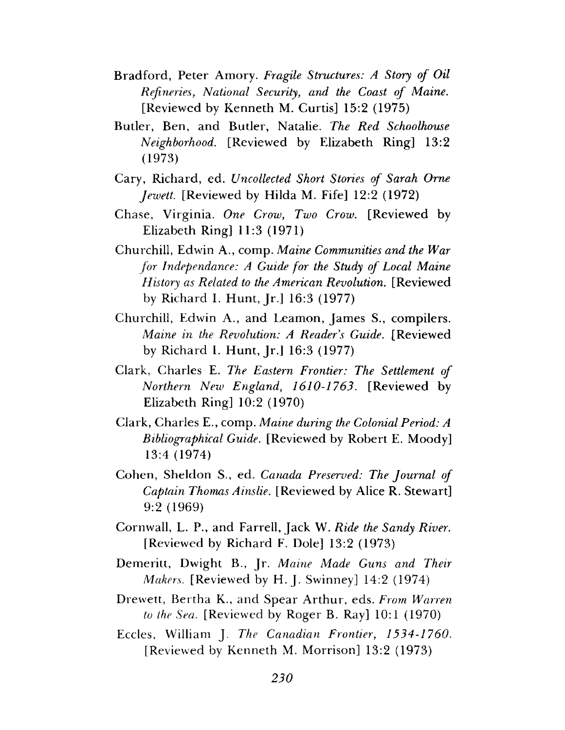- Bradford, Peter Amory. *Fragile Structures: A Story of Oil Refineries, National Security, and the Coast of Maine.* [Reviewed by Kenneth M. Curtis]  $15:2$  (1975)
- Butler, Ben, and Butler, Natalie. The Red Schoolhouse *Neighborhood*. [Reviewed by Elizabeth Ring] 13:2 (1973)
- Cary, Richard, ed. *Uncollected Short Stories of Sarah Orne Jewett.* [Reviewed by Hilda M. Fife] 12:2 (1972)
- Chase, Virginia. One Crow, Two Crow. [Reviewed by Elizabeth Ring] 11:3 (1971)
- Churchill, Edwin A., comp. *Maine Communities and the War for Independance: A Guide for the Study of Local Maine History as Related to the American Revolution.* [Reviewed by Richard I. Hunt, Jr.] 16:3 (1977)
- Churchill, Edwin A., and Leamon, James S., compilers. *Maine in the Revolution: A Reader s Guide.* [Reviewed by Richard I. Hunt, Jr.] 16:3 (1977)
- Clark, Charles E. *The Eastern Frontier: The Settlement of Northern New England, 1610-1763.* [Reviewed by Elizabeth Ring] 10:2 (1970)
- Clark, Charles E., comp. *Maine during the Colonial Period: A Bibliographical Guide.* [Reviewed by Robert E. Moody] 13:4 (1974)
- C ohen, Sheldon S., ed. *Canada Preserved: The Journal of Captain Thomas A inslie.* [Reviewed by Alice R. Stewart] 9:2 (1969)
- Cornwall, L. P., and Farrell, Jack W. *Ride the Sandy River.* [Reviewed by Richard F. Dole]  $13:2$  (1973)
- Demeritt, Dwight B., Jr. *Maine Made Guns and Their Makers.* [Reviewed by H. J. Swinney] 14:2 (1974)
- Drewett, Bertha K., and Spear Arthur, eds. *From Warren to the Sea.* [Reviewed by Roger B. Ray] 10:1 (1970)
- Eccles, W illiam J. *The Canadian Frontier, 1534-1760.* [Reviewed by Kenneth M. Morrison] 13:2 (1973)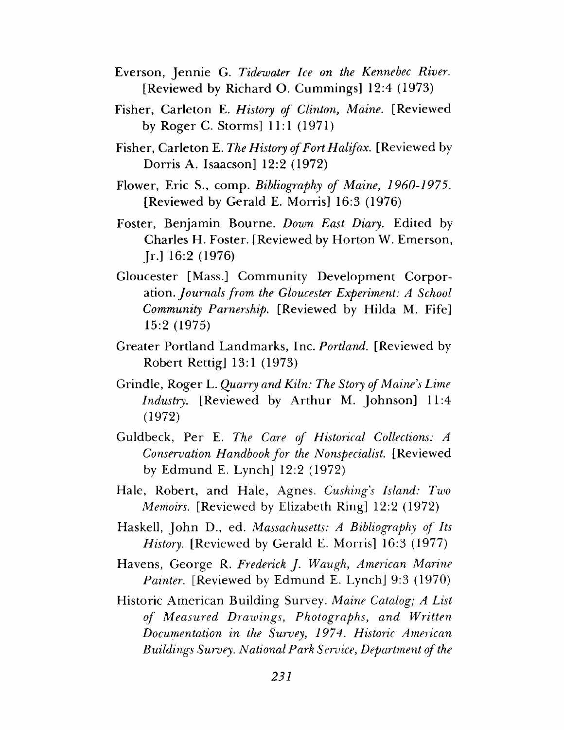- Everson, Jennie G. *Tidewater Ice on the Kennebec River*. [Reviewed by Richard O. Cummings]  $12:4$  (1973)
- Fisher, Carleton E. *History of Clinton, Maine*. [Reviewed by Roger C. Storms] 11:1 (1971)
- Fisher, Carleton E. *The History of Fort Halifax*. [Reviewed by Dorris A. Isaacson] 12:2 (1972)
- Flower, Eric S., comp. *Bibliography of Maine*, 1960-1975. [Reviewed by Gerald E. Morris]  $16:3$  (1976)
- Foster, Benjamin Bourne. *Down East Diary*. Edited by Charles H. Foster. [Reviewed by Horton W. Emerson, Jr.] 16:2 (1976)
- Gloucester [Mass.] Community Development Corporation. *Journals from the Gloucester Experiment: A School Community Parnership.* [Reviewed by Hilda M. Fife] 15:2 (1975)
- Greater Portland Landmarks, Inc. *Portland*. [Reviewed by Robert Rettig] 13:1 (1973)
- Grindle, R oger L. *Quarry and Kiln: The Story of Maine's Lime Industry.* [Reviewed by Arthur M. Johnson] 11:4 (1972)
- Guldbeck, Per E. *The Care of Historical Collections: A Conservation Handbook for the Nonspecialist.* [Reviewed by Edmund E. Lynch]  $12:2(1972)$
- Hale, Robert, and Hale, Agnes. *Cushing's Island: Two Memoirs.* [Reviewed by Elizabeth Ring] 12:2 (1972)
- Haskell, John D., ed. *Massachusetts: A Bibliography of Its History.* [Reviewed by Gerald E. Morris] 16:3 (1977)
- Havens, George R. *Frederick J. Waugh, American Marine Painter.* [Reviewed by Edmund E. Lynch] 9:3 (1970)
- Historic American Building Survey. *Maine Catalog*; A List *of M easured D rawings, Photographs, and Written Documentation in the Survey, 1974. Historic American Buildings Survey. National Park Service, Department of the*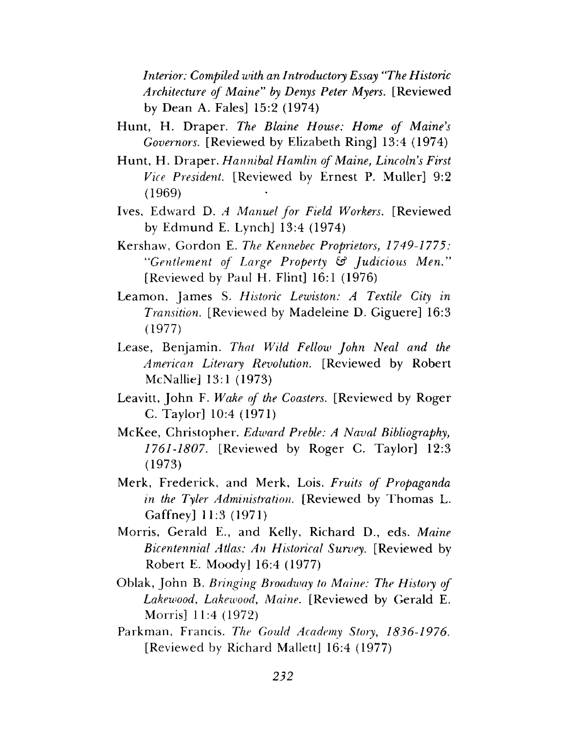*Interior: Compiled with an Introductory Essay "The Historic Architecture of M aine*" *by Denys Peter Myers.* [Reviewed by Dean A. Fales]  $15:2$  (1974)

- Hunt, H. Draper. *The Blaine House: Home of Maine's Governors.* [Reviewed by Elizabeth Ring] 13:4 (1974)
- Hunt, H. Draper. *Hannibal Hamlin of Maine*, *Lincoln's First* Vice President. [Reviewed by Ernest P. Muller] 9:2 (1969)
- Ives, Edw ard D. *A Manuel fo r Field Workers.* [Reviewed by Edmund E. Lynch]  $13:4$  (1974)
- Kershaw, G ordon E. *The Kennebec Proprietors*, *1749-1775: "Gentlement of Large Property* £s? *Judicious M en."* [Reviewed by Paul H. Flint] 16:1 (1976)
- Leamon, James S. *Historic Lewiston: A Textile City in Transition.* [Reviewed by Madeleine D. Giguere] 16:3 (1977)
- Lease, Benjamin. *That Wild Fellow John Neal and the American Literary Revolution.* [Reviewed by Robert McNallie] 13:1 (1973)
- Leavitt, John F. *Wake of the Coasters*. [Reviewed by Roger C. Taylor] 10:4 (1971)
- McKee, Christopher. *Edward Preble: A Naval Bibliography*, *1761-1807*. [Reviewed by Roger C. Taylor] 12:3 (1973)
- M erk, Frederick, and M erk, Lois. *Fruits of Propaganda in the Tyler Administration.* [Reviewed by Thomas L. Gaffney] 11:3 (1971)
- Morris, Gerald E., and Kelly, Richard D., eds. Maine *Bicentennial Atlas: An Historical Survey.* [Reviewed by Robert E. Moody] 16:4 (1977)
- Oblak, John B. *Bringing Broadway to Maine: The History of Lakewood, Lakewood, Maine.* [Reviewed by Gerald E. Morris] 11:4 (1972)
- Parkm an, Francis. *The Gould Academy Story*, *1836-1976.* [Reviewed by Richard Mallett] 16:4 (1977)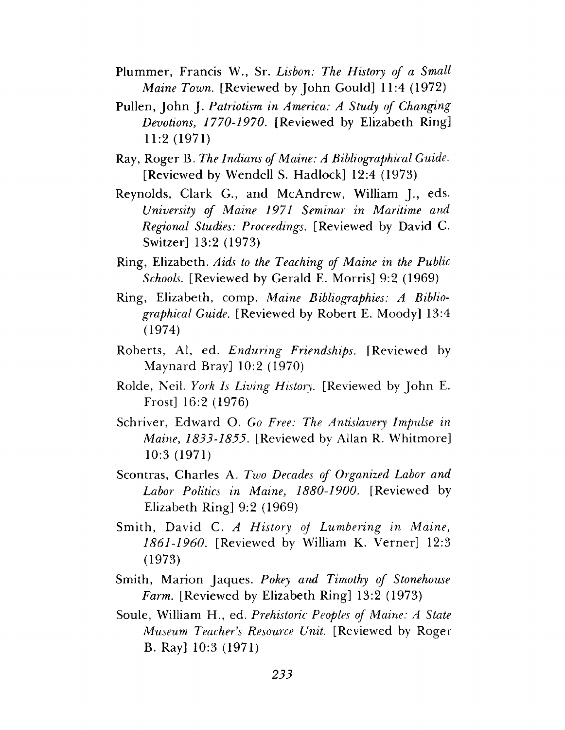- Plummer, Francis W., Sr. *Lisbon: The History of a Small Maine Town.* [Reviewed by John Gould] 11:4 (1972)
- Pullen, John J. *Patriotism in America: A Study of Changing Devotions*, *1770-1970.* [Reviewed by Elizabeth Ring] 11:2 (1971)
- Ray, Roger B. *The Indians of Maine: A Bibliographical Guide.* [Reviewed by Wendell S. Hadlock] 12:4 (1973)
- Reynolds, Clark G., and McAndrew, William J., eds. *University of Maine 1971 Seminar in Maritime and Regional Studies: Proceedings.* [Reviewed by David C. Switzer] 13:2 (1973)
- Ring, Elizabeth. *Aids to the Teaching of Maine in the Public Schools.* [Reviewed by Gerald E. Morris] 9:2 (1969)
- Ring, Elizabeth, comp. *Maine Bibliographies: A Bibliographical Guide.* [Reviewed by Robert E. Moody] 13:4 (1974)
- R oberts, Al, ed. *Enduring Friendships.* [Reviewed by M aynard Bray] 10:2 (1970)
- Rolde, Neil. *York Is Living History*. [Reviewed by John E. Frost] 16:2 (1976)
- Schriver, Edward O. Go Free: The Antislavery Impulse in *Maine, 1833-1855.* [Reviewed by Allan R. Whitmore] 10:3 (1971)
- Scontras, Charles A. *Two Decades of Organized Labor and Labor Politics in Maine, 1880-1900.* [Reviewed by Elizabeth Ring] 9:2 (1969)
- Smith, David C. *A History of Lumbering in Maine*, *1861-1960.* [Reviewed by William K. Verner] 12:3 (1973)
- Smith, Marion Jaques. *Pokey and Timothy of Stonehouse Farm.* [Reviewed by Elizabeth Ring] 13:2 (1973)
- Soule, William H., ed. *Prehistoric Peoples of Maine: A State Museum Teacher's Resource Unit.* [Reviewed by Roger B. Ray] 10:3 (1971)